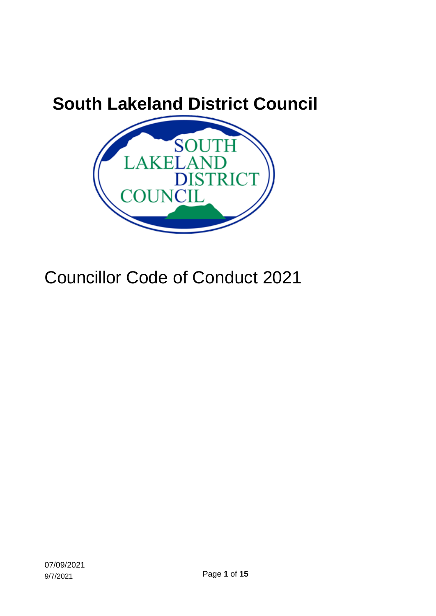<span id="page-0-1"></span><span id="page-0-0"></span>

# Councillor Code of Conduct 2021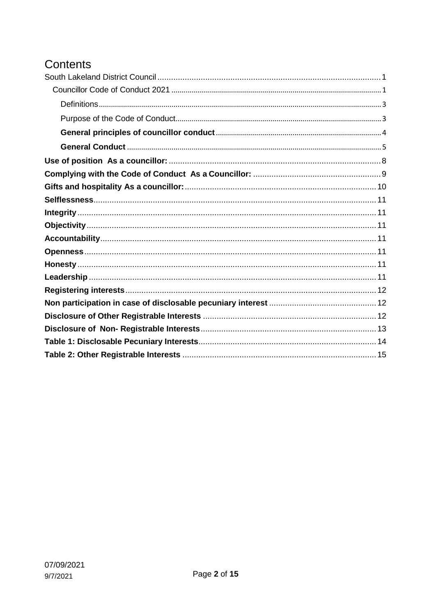# Contents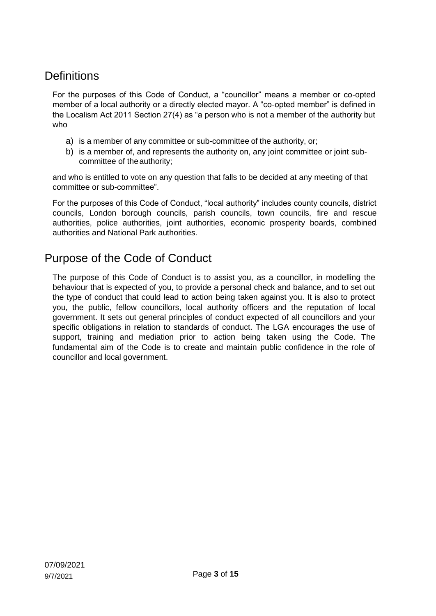# <span id="page-2-0"></span>**Definitions**

For the purposes of this Code of Conduct, a "councillor" means a member or co-opted member of a local authority or a directly elected mayor. A "co-opted member" is defined in the Localism Act 2011 Section 27(4) as "a person who is not a member of the authority but who

- a) is a member of any committee or sub-committee of the authority, or;
- b) is a member of, and represents the authority on, any joint committee or joint subcommittee of the authority;

and who is entitled to vote on any question that falls to be decided at any meeting of that committee or sub-committee".

For the purposes of this Code of Conduct, "local authority" includes county councils, district councils, London borough councils, parish councils, town councils, fire and rescue authorities, police authorities, joint authorities, economic prosperity boards, combined authorities and National Park authorities.

# <span id="page-2-1"></span>Purpose of the Code of Conduct

The purpose of this Code of Conduct is to assist you, as a councillor, in modelling the behaviour that is expected of you, to provide a personal check and balance, and to set out the type of conduct that could lead to action being taken against you. It is also to protect you, the public, fellow councillors, local authority officers and the reputation of local government. It sets out general principles of conduct expected of all councillors and your specific obligations in relation to standards of conduct. The LGA encourages the use of support, training and mediation prior to action being taken using the Code. The fundamental aim of the Code is to create and maintain public confidence in the role of councillor and local government.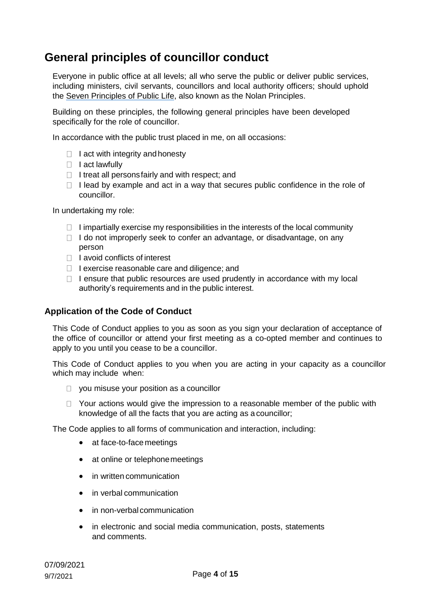# <span id="page-3-0"></span>**General principles of councillor conduct**

Everyone in public office at all levels; all who serve the public or deliver public services, including ministers, civil servants, councillors and local authority officers; should uphold the [Seven Principles of Public Life,](https://www.gov.uk/government/publications/the-7-principles-of-public-life/the-7-principles-of-public-life--2) also known as the Nolan Principles.

Building on these principles, the following general principles have been developed specifically for the role of councillor.

In accordance with the public trust placed in me, on all occasions:

- $\Box$  I act with integrity and honesty
- $\Box$  I act lawfully
- $\Box$  I treat all persons fairly and with respect; and
- $\Box$  I lead by example and act in a way that secures public confidence in the role of councillor.

In undertaking my role:

- $\Box$  I impartially exercise my responsibilities in the interests of the local community
- $\Box$  I do not improperly seek to confer an advantage, or disadvantage, on any person
- $\Box$  I avoid conflicts of interest
- $\Box$  I exercise reasonable care and diligence; and
- $\Box$  I ensure that public resources are used prudently in accordance with my local authority's requirements and in the public interest.

#### **Application of the Code of Conduct**

This Code of Conduct applies to you as soon as you sign your declaration of acceptance of the office of councillor or attend your first meeting as a co-opted member and continues to apply to you until you cease to be a councillor.

This Code of Conduct applies to you when you are acting in your capacity as a councillor which may include when:

- $\Box$  you misuse your position as a councillor
- $\Box$  Your actions would give the impression to a reasonable member of the public with knowledge of all the facts that you are acting as acouncillor;

The Code applies to all forms of communication and interaction, including:

- at face-to-face meetings
- at online or telephone meetings
- in written communication
- in verbal communication
- in non-verbal communication
- in electronic and social media communication, posts, statements and comments.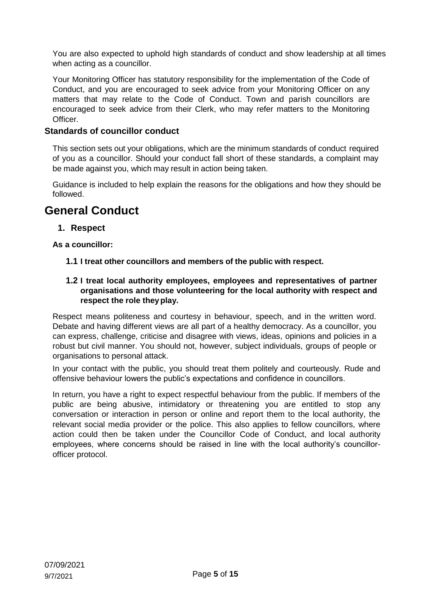You are also expected to uphold high standards of conduct and show leadership at all times when acting as a councillor.

Your Monitoring Officer has statutory responsibility for the implementation of the Code of Conduct, and you are encouraged to seek advice from your Monitoring Officer on any matters that may relate to the Code of Conduct. Town and parish councillors are encouraged to seek advice from their Clerk, who may refer matters to the Monitoring Officer.

#### **Standards of councillor conduct**

This section sets out your obligations, which are the minimum standards of conduct required of you as a councillor. Should your conduct fall short of these standards, a complaint may be made against you, which may result in action being taken.

Guidance is included to help explain the reasons for the obligations and how they should be followed.

# <span id="page-4-0"></span>**General Conduct**

#### **1. Respect**

**As a councillor:**

- **1.1 I treat other councillors and members of the public with respect.**
- **1.2 I treat local authority employees, employees and representatives of partner organisations and those volunteering for the local authority with respect and respect the role theyplay.**

Respect means politeness and courtesy in behaviour, speech, and in the written word. Debate and having different views are all part of a healthy democracy. As a councillor, you can express, challenge, criticise and disagree with views, ideas, opinions and policies in a robust but civil manner. You should not, however, subject individuals, groups of people or organisations to personal attack.

In your contact with the public, you should treat them politely and courteously. Rude and offensive behaviour lowers the public's expectations and confidence in councillors.

In return, you have a right to expect respectful behaviour from the public. If members of the public are being abusive, intimidatory or threatening you are entitled to stop any conversation or interaction in person or online and report them to the local authority, the relevant social media provider or the police. This also applies to fellow councillors, where action could then be taken under the Councillor Code of Conduct, and local authority employees, where concerns should be raised in line with the local authority's councillorofficer protocol.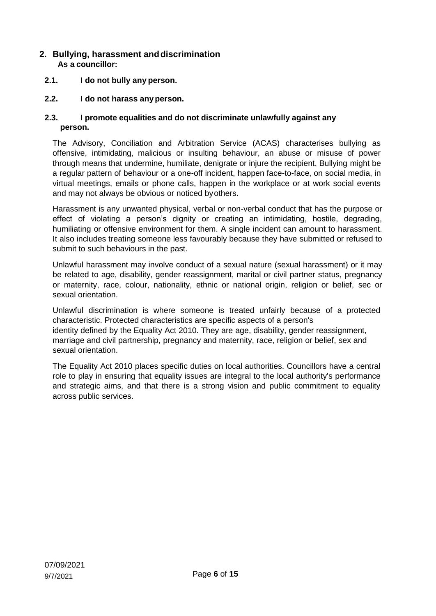#### **2. Bullying, harassment anddiscrimination As a councillor:**

- **2.1. I do not bully any person.**
- **2.2. I do not harass anyperson.**

#### **2.3. I promote equalities and do not discriminate unlawfully against any person.**

The Advisory, Conciliation and Arbitration Service (ACAS) characterises bullying as offensive, intimidating, malicious or insulting behaviour, an abuse or misuse of power through means that undermine, humiliate, denigrate or injure the recipient. Bullying might be a regular pattern of behaviour or a one-off incident, happen face-to-face, on social media, in virtual meetings, emails or phone calls, happen in the workplace or at work social events and may not always be obvious or noticed byothers.

Harassment is any unwanted physical, verbal or non-verbal conduct that has the purpose or effect of violating a person's dignity or creating an intimidating, hostile, degrading, humiliating or offensive environment for them. A single incident can amount to harassment. It also includes treating someone less favourably because they have submitted or refused to submit to such behaviours in the past.

Unlawful harassment may involve conduct of a sexual nature (sexual harassment) or it may be related to age, disability, gender reassignment, marital or civil partner status, pregnancy or maternity, race, colour, nationality, ethnic or national origin, religion or belief, sec or sexual orientation.

Unlawful discrimination is where someone is treated unfairly because of a protected characteristic. Protected characteristics are specific aspects of a person's identity defined by the Equality Act 2010. They are age, disability, gender reassignment, marriage and civil partnership, pregnancy and maternity, race, religion or belief, sex and sexual orientation.

The Equality Act 2010 places specific duties on local authorities. Councillors have a central role to play in ensuring that equality issues are integral to the local authority's performance and strategic aims, and that there is a strong vision and public commitment to equality across public services.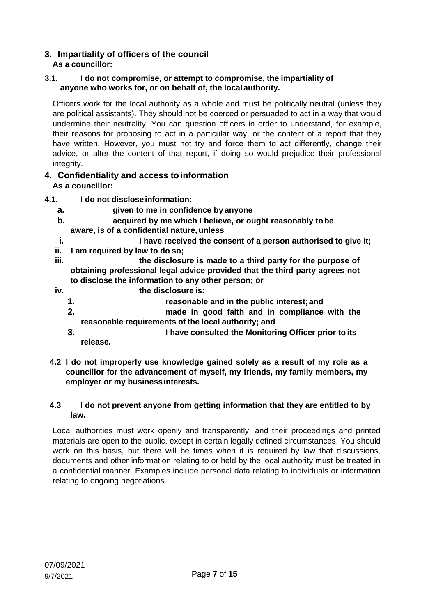#### **3. Impartiality of officers of the council As a councillor:**

#### **3.1. I do not compromise, or attempt to compromise, the impartiality of anyone who works for, or on behalf of, the localauthority.**

Officers work for the local authority as a whole and must be politically neutral (unless they are political assistants). They should not be coerced or persuaded to act in a way that would undermine their neutrality. You can question officers in order to understand, for example, their reasons for proposing to act in a particular way, or the content of a report that they have written. However, you must not try and force them to act differently, change their advice, or alter the content of that report, if doing so would prejudice their professional integrity.

#### **4. Confidentiality and access toinformation As a councillor:**

### **4.1. I do not discloseinformation:**

- **a. given to me in confidence by anyone**
- **b. acquired by me which I believe, or ought reasonably tobe aware, is of a confidential nature,unless**
- **i. I have received the consent of a person authorised to give it;**
- **ii. I am required by law to do so;**
- **iii. the disclosure is made to a third party for the purpose of obtaining professional legal advice provided that the third party agrees not to disclose the information to any other person; or**
- **iv. the disclosure is:**
	- **1. reasonable and in the public interest;and**
	- **2. made in good faith and in compliance with the reasonable requirements of the local authority; and**
	- **3. I have consulted the Monitoring Officer prior to its release.**
- **4.2 I do not improperly use knowledge gained solely as a result of my role as a councillor for the advancement of myself, my friends, my family members, my employer or my businessinterests.**

#### **4.3 I do not prevent anyone from getting information that they are entitled to by law.**

Local authorities must work openly and transparently, and their proceedings and printed materials are open to the public, except in certain legally defined circumstances. You should work on this basis, but there will be times when it is required by law that discussions, documents and other information relating to or held by the local authority must be treated in a confidential manner. Examples include personal data relating to individuals or information relating to ongoing negotiations.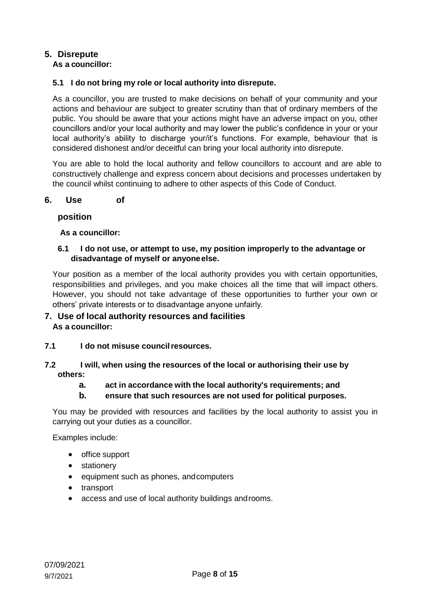### **5. Disrepute**

### **As a councillor:**

#### **5.1 I do not bring my role or local authority into disrepute.**

As a councillor, you are trusted to make decisions on behalf of your community and your actions and behaviour are subject to greater scrutiny than that of ordinary members of the public. You should be aware that your actions might have an adverse impact on you, other councillors and/or your local authority and may lower the public's confidence in your or your local authority's ability to discharge your/it's functions. For example, behaviour that is considered dishonest and/or deceitful can bring your local authority into disrepute.

You are able to hold the local authority and fellow councillors to account and are able to constructively challenge and express concern about decisions and processes undertaken by the council whilst continuing to adhere to other aspects of this Code of Conduct.

#### <span id="page-7-0"></span>**6. Use of**

#### **position**

**As a councillor:**

#### **6.1 I do not use, or attempt to use, my position improperly to the advantage or disadvantage of myself or anyoneelse.**

Your position as a member of the local authority provides you with certain opportunities, responsibilities and privileges, and you make choices all the time that will impact others. However, you should not take advantage of these opportunities to further your own or others' private interests or to disadvantage anyone unfairly.

#### **7. Use of local authority resources and facilities As a councillor:**

**7.1 I do not misuse councilresources.**

#### **7.2 I will, when using the resources of the local or authorising their use by others:**

#### **a. act in accordance with the local authority's requirements; and**

**b. ensure that such resources are not used for political purposes.**

You may be provided with resources and facilities by the local authority to assist you in carrying out your duties as a councillor.

Examples include:

- office support
- stationery
- equipment such as phones, and computers
- transport
- access and use of local authority buildings androoms.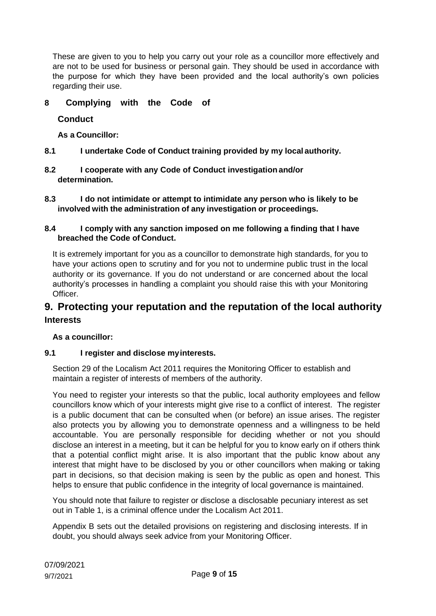These are given to you to help you carry out your role as a councillor more effectively and are not to be used for business or personal gain. They should be used in accordance with the purpose for which they have been provided and the local authority's own policies regarding their use.

### <span id="page-8-0"></span>**8 Complying with the Code of**

#### **Conduct**

**As a Councillor:**

- **8.1 I undertake Code of Conduct training provided by my local authority.**
- **8.2 I cooperate with any Code of Conduct investigation and/or determination.**
- **8.3 I do not intimidate or attempt to intimidate any person who is likely to be involved with the administration of any investigation or proceedings.**

#### **8.4 I comply with any sanction imposed on me following a finding that I have breached the Code of Conduct.**

It is extremely important for you as a councillor to demonstrate high standards, for you to have your actions open to scrutiny and for you not to undermine public trust in the local authority or its governance. If you do not understand or are concerned about the local authority's processes in handling a complaint you should raise this with your Monitoring Officer.

## **9. Protecting your reputation and the reputation of the local authority Interests**

#### **As a councillor:**

#### **9.1 I register and disclose myinterests.**

Section 29 of the Localism Act 2011 requires the Monitoring Officer to establish and maintain a register of interests of members of the authority.

You need to register your interests so that the public, local authority employees and fellow councillors know which of your interests might give rise to a conflict of interest. The register is a public document that can be consulted when (or before) an issue arises. The register also protects you by allowing you to demonstrate openness and a willingness to be held accountable. You are personally responsible for deciding whether or not you should disclose an interest in a meeting, but it can be helpful for you to know early on if others think that a potential conflict might arise. It is also important that the public know about any interest that might have to be disclosed by you or other councillors when making or taking part in decisions, so that decision making is seen by the public as open and honest. This helps to ensure that public confidence in the integrity of local governance is maintained.

You should note that failure to register or disclose a disclosable pecuniary interest as set out in Table 1, is a criminal offence under the Localism Act 2011.

Appendix B sets out the detailed provisions on registering and disclosing interests. If in doubt, you should always seek advice from your Monitoring Officer.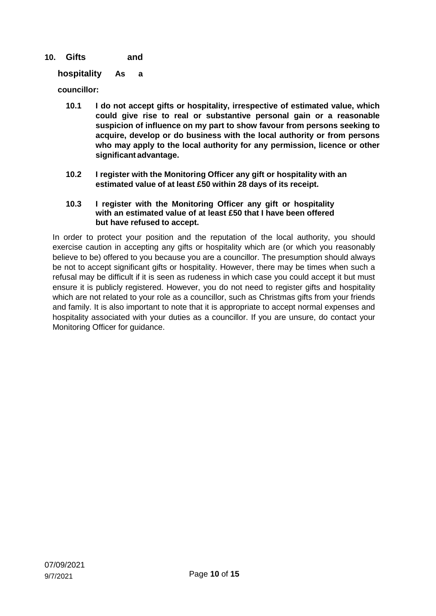### <span id="page-9-0"></span>**10. Gifts and**

#### **hospitality As a**

**councillor:**

- **10.1 I do not accept gifts or hospitality, irrespective of estimated value, which could give rise to real or substantive personal gain or a reasonable suspicion of influence on my part to show favour from persons seeking to acquire, develop or do business with the local authority or from persons who may apply to the local authority for any permission, licence or other significant advantage.**
- **10.2 I register with the Monitoring Officer any gift or hospitality with an estimated value of at least £50 within 28 days of its receipt.**

#### **10.3 I register with the Monitoring Officer any gift or hospitality with an estimated value of at least £50 that I have been offered but have refused to accept.**

In order to protect your position and the reputation of the local authority, you should exercise caution in accepting any gifts or hospitality which are (or which you reasonably believe to be) offered to you because you are a councillor. The presumption should always be not to accept significant gifts or hospitality. However, there may be times when such a refusal may be difficult if it is seen as rudeness in which case you could accept it but must ensure it is publicly registered. However, you do not need to register gifts and hospitality which are not related to your role as a councillor, such as Christmas gifts from your friends and family. It is also important to note that it is appropriate to accept normal expenses and hospitality associated with your duties as a councillor. If you are unsure, do contact your Monitoring Officer for guidance.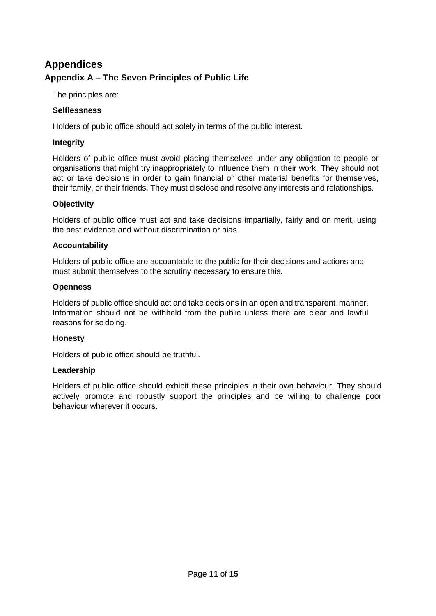# **Appendices Appendix A – The Seven Principles of Public Life**

The principles are:

#### <span id="page-10-0"></span>**Selflessness**

Holders of public office should act solely in terms of the public interest.

#### <span id="page-10-1"></span>**Integrity**

Holders of public office must avoid placing themselves under any obligation to people or organisations that might try inappropriately to influence them in their work. They should not act or take decisions in order to gain financial or other material benefits for themselves, their family, or their friends. They must disclose and resolve any interests and relationships.

#### <span id="page-10-2"></span>**Objectivity**

Holders of public office must act and take decisions impartially, fairly and on merit, using the best evidence and without discrimination or bias.

#### <span id="page-10-3"></span>**Accountability**

Holders of public office are accountable to the public for their decisions and actions and must submit themselves to the scrutiny necessary to ensure this.

#### <span id="page-10-4"></span>**Openness**

Holders of public office should act and take decisions in an open and transparent manner. Information should not be withheld from the public unless there are clear and lawful reasons for so doing.

#### <span id="page-10-5"></span>**Honesty**

Holders of public office should be truthful.

#### <span id="page-10-6"></span>**Leadership**

Holders of public office should exhibit these principles in their own behaviour. They should actively promote and robustly support the principles and be willing to challenge poor behaviour wherever it occurs.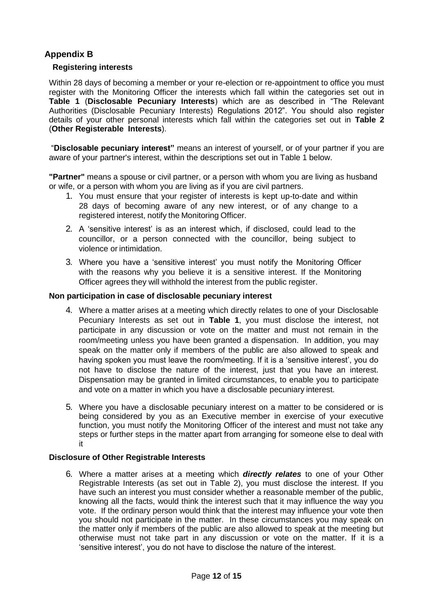### **Appendix B**

#### <span id="page-11-0"></span>**Registering interests**

Within 28 days of becoming a member or your re-election or re-appointment to office you must register with the Monitoring Officer the interests which fall within the categories set out in **Table 1** (**Disclosable Pecuniary Interests**) which are as described in "The Relevant Authorities (Disclosable Pecuniary Interests) Regulations 2012". You should also register details of your other personal interests which fall within the categories set out in **Table 2**  (**Other Registerable Interests**).

"**Disclosable pecuniary interest"** means an interest of yourself, or of your partner if you are aware of your partner's interest, within the descriptions set out in Table 1 below.

**"Partner"** means a spouse or civil partner, or a person with whom you are living as husband or wife, or a person with whom you are living as if you are civil partners.

- 1. You must ensure that your register of interests is kept up-to-date and within 28 days of becoming aware of any new interest, or of any change to a registered interest, notify the Monitoring Officer.
- 2. A 'sensitive interest' is as an interest which, if disclosed, could lead to the councillor, or a person connected with the councillor, being subject to violence or intimidation.
- 3. Where you have a 'sensitive interest' you must notify the Monitoring Officer with the reasons why you believe it is a sensitive interest. If the Monitoring Officer agrees they will withhold the interest from the public register.

#### <span id="page-11-1"></span>**Non participation in case of disclosable pecuniary interest**

- 4. Where a matter arises at a meeting which directly relates to one of your Disclosable Pecuniary Interests as set out in **Table 1**, you must disclose the interest, not participate in any discussion or vote on the matter and must not remain in the room/meeting unless you have been granted a dispensation. In addition, you may speak on the matter only if members of the public are also allowed to speak and having spoken you must leave the room/meeting. If it is a 'sensitive interest', you do not have to disclose the nature of the interest, just that you have an interest. Dispensation may be granted in limited circumstances, to enable you to participate and vote on a matter in which you have a disclosable pecuniary interest.
- 5. Where you have a disclosable pecuniary interest on a matter to be considered or is being considered by you as an Executive member in exercise of your executive function, you must notify the Monitoring Officer of the interest and must not take any steps or further steps in the matter apart from arranging for someone else to deal with it

#### <span id="page-11-2"></span>**Disclosure of Other Registrable Interests**

6. Where a matter arises at a meeting which *directly relates* to one of your Other Registrable Interests (as set out in Table 2), you must disclose the interest. If you have such an interest you must consider whether a reasonable member of the public, knowing all the facts, would think the interest such that it may influence the way you vote. If the ordinary person would think that the interest may influence your vote then you should not participate in the matter. In these circumstances you may speak on the matter only if members of the public are also allowed to speak at the meeting but otherwise must not take part in any discussion or vote on the matter. If it is a 'sensitive interest', you do not have to disclose the nature of the interest.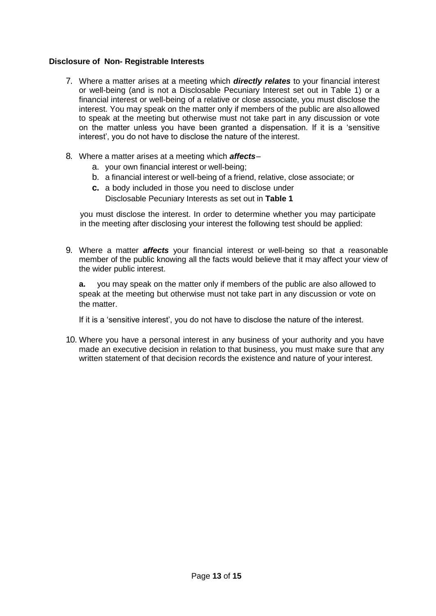#### <span id="page-12-0"></span>**Disclosure of Non- Registrable Interests**

- 7. Where a matter arises at a meeting which *directly relates* to your financial interest or well-being (and is not a Disclosable Pecuniary Interest set out in Table 1) or a financial interest or well-being of a relative or close associate, you must disclose the interest. You may speak on the matter only if members of the public are also allowed to speak at the meeting but otherwise must not take part in any discussion or vote on the matter unless you have been granted a dispensation. If it is a 'sensitive interest', you do not have to disclose the nature of the interest.
- 8. Where a matter arises at a meeting which *affects*
	- a. your own financial interest or well-being;
	- b. a financial interest or well-being of a friend, relative, close associate; or
	- **c.** a body included in those you need to disclose under Disclosable Pecuniary Interests as set out in **Table 1**

you must disclose the interest. In order to determine whether you may participate in the meeting after disclosing your interest the following test should be applied:

9. Where a matter *affects* your financial interest or well-being so that a reasonable member of the public knowing all the facts would believe that it may affect your view of the wider public interest.

**a.** you may speak on the matter only if members of the public are also allowed to speak at the meeting but otherwise must not take part in any discussion or vote on the matter.

If it is a 'sensitive interest', you do not have to disclose the nature of the interest.

10. Where you have a personal interest in any business of your authority and you have made an executive decision in relation to that business, you must make sure that any written statement of that decision records the existence and nature of your interest.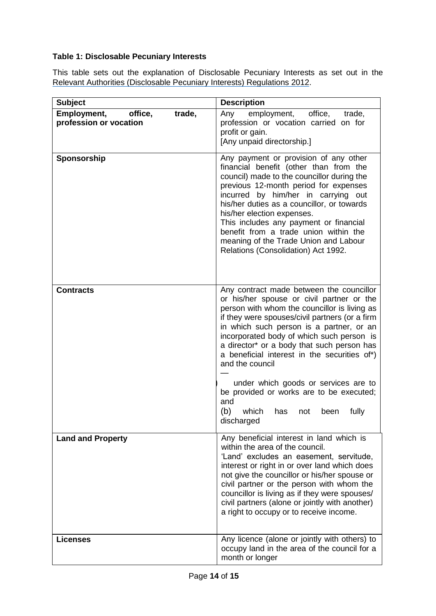### <span id="page-13-0"></span>**Table 1: Disclosable Pecuniary Interests**

This table sets out the explanation of Disclosable Pecuniary Interests as set out in the [Relevant Authorities \(Disclosable Pecuniary Interests\) Regulations 2012.](https://www.legislation.gov.uk/uksi/2012/1464/made)

| <b>Subject</b>                                             | <b>Description</b>                                                                                                                                                                                                                                                                                                                                                                                                                                                                                                                                        |
|------------------------------------------------------------|-----------------------------------------------------------------------------------------------------------------------------------------------------------------------------------------------------------------------------------------------------------------------------------------------------------------------------------------------------------------------------------------------------------------------------------------------------------------------------------------------------------------------------------------------------------|
| Employment,<br>office,<br>trade,<br>profession or vocation | employment,<br>Any<br>office,<br>trade,<br>profession or vocation carried on for<br>profit or gain.<br>[Any unpaid directorship.]                                                                                                                                                                                                                                                                                                                                                                                                                         |
| Sponsorship                                                | Any payment or provision of any other<br>financial benefit (other than from the<br>council) made to the councillor during the<br>previous 12-month period for expenses<br>incurred by him/her in carrying out<br>his/her duties as a councillor, or towards<br>his/her election expenses.<br>This includes any payment or financial<br>benefit from a trade union within the<br>meaning of the Trade Union and Labour<br>Relations (Consolidation) Act 1992.                                                                                              |
| <b>Contracts</b>                                           | Any contract made between the councillor<br>or his/her spouse or civil partner or the<br>person with whom the councillor is living as<br>if they were spouses/civil partners (or a firm<br>in which such person is a partner, or an<br>incorporated body of which such person is<br>a director* or a body that such person has<br>a beneficial interest in the securities of*)<br>and the council<br>under which goods or services are to<br>be provided or works are to be executed;<br>and<br>(b)<br>which<br>fully<br>has<br>not<br>been<br>discharged |
| <b>Land and Property</b>                                   | Any beneficial interest in land which is<br>within the area of the council.<br>'Land' excludes an easement, servitude,<br>interest or right in or over land which does<br>not give the councillor or his/her spouse or<br>civil partner or the person with whom the<br>councillor is living as if they were spouses/<br>civil partners (alone or jointly with another)<br>a right to occupy or to receive income.                                                                                                                                         |
| <b>Licenses</b>                                            | Any licence (alone or jointly with others) to<br>occupy land in the area of the council for a<br>month or longer                                                                                                                                                                                                                                                                                                                                                                                                                                          |